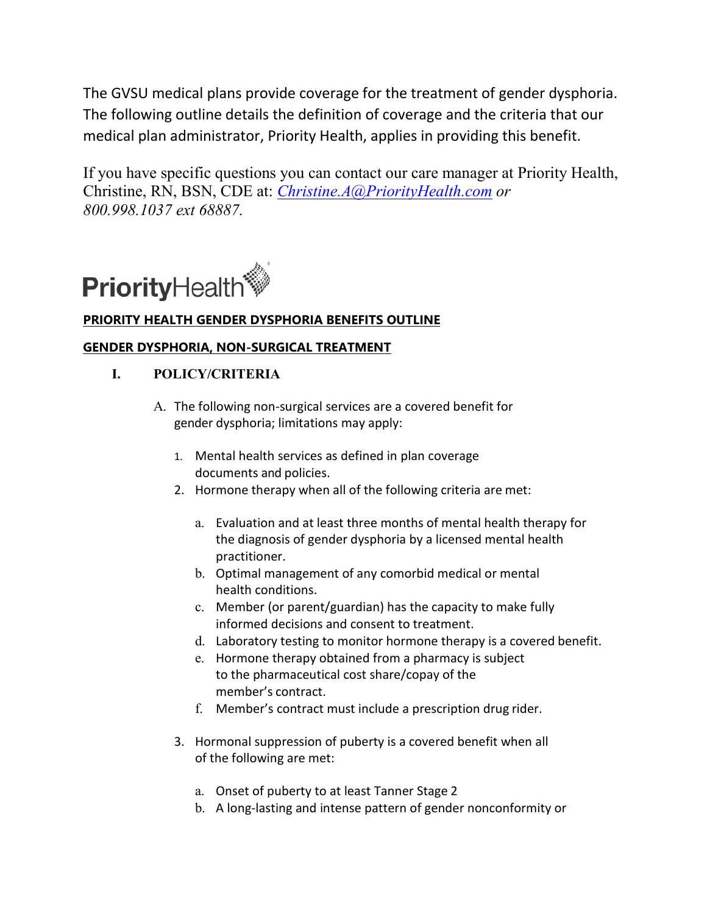The GVSU medical plans provide coverage for the treatment of gender dysphoria. The following outline details the definition of coverage and the criteria that our medical plan administrator, Priority Health, applies in providing this benefit.

If you have specific questions you can contact our care manager at Priority Health, Christine, RN, BSN, CDE at: *[Christine.A@PriorityHealth.com](mailto:Christine.A@PriorityHealth.com) or 800.998.1037 ext 68887.*



# **PRIORITY HEALTH GENDER DYSPHORIA BENEFITS OUTLINE**

# **GENDER DYSPHORIA, NON-SURGICAL TREATMENT**

# **I. POLICY/CRITERIA**

- A. The following non-surgical services are a covered benefit for gender dysphoria; limitations may apply:
	- 1. Mental health services as defined in plan coverage documents and policies.
	- 2. Hormone therapy when all of the following criteria are met:
		- a. Evaluation and at least three months of mental health therapy for the diagnosis of gender dysphoria by a licensed mental health practitioner.
		- b. Optimal management of any comorbid medical or mental health conditions.
		- c. Member (or parent/guardian) has the capacity to make fully informed decisions and consent to treatment.
		- d. Laboratory testing to monitor hormone therapy is a covered benefit.
		- e. Hormone therapy obtained from a pharmacy is subject to the pharmaceutical cost share/copay of the member's contract.
		- f. Member's contract must include a prescription drug rider.
	- 3. Hormonal suppression of puberty is a covered benefit when all of the following are met:
		- a. Onset of puberty to at least Tanner Stage 2
		- b. A long-lasting and intense pattern of gender nonconformity or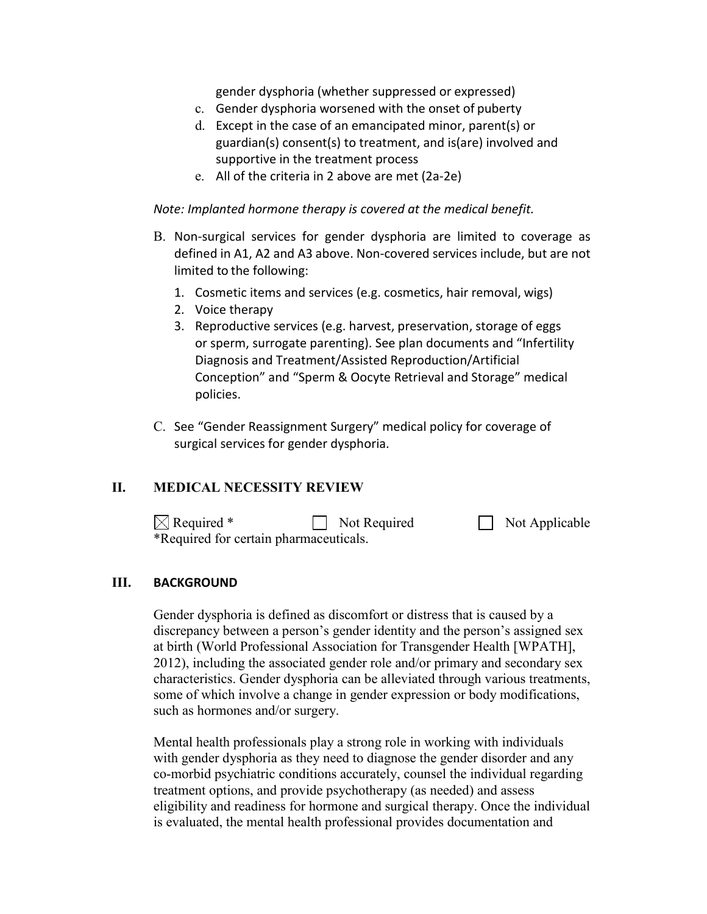gender dysphoria (whether suppressed or expressed)

- c. Gender dysphoria worsened with the onset of puberty
- d. Except in the case of an emancipated minor, parent(s) or guardian(s) consent(s) to treatment, and is(are) involved and supportive in the treatment process
- e. All of the criteria in 2 above are met (2a-2e)

*Note: Implanted hormone therapy is covered at the medical benefit.*

- B. Non-surgical services for gender dysphoria are limited to coverage as defined in A1, A2 and A3 above. Non-covered services include, but are not limited to the following:
	- 1. Cosmetic items and services (e.g. cosmetics, hair removal, wigs)
	- 2. Voice therapy
	- 3. Reproductive services (e.g. harvest, preservation, storage of eggs or sperm, surrogate parenting). See plan documents and "Infertility Diagnosis and Treatment/Assisted Reproduction/Artificial Conception" and "Sperm & Oocyte Retrieval and Storage" medical policies.
- C. See "Gender Reassignment Surgery" medical policy for coverage of surgical services for gender dysphoria.

### **II. MEDICAL NECESSITY REVIEW**

| $\boxtimes$ Required *                 | $\Box$ Not Required | Not Applicable |
|----------------------------------------|---------------------|----------------|
| *Required for certain pharmaceuticals. |                     |                |

#### **III. BACKGROUND**

Gender dysphoria is defined as discomfort or distress that is caused by a discrepancy between a person's gender identity and the person's assigned sex at birth (World Professional Association for Transgender Health [WPATH], 2012), including the associated gender role and/or primary and secondary sex characteristics. Gender dysphoria can be alleviated through various treatments, some of which involve a change in gender expression or body modifications, such as hormones and/or surgery.

Mental health professionals play a strong role in working with individuals with gender dysphoria as they need to diagnose the gender disorder and any co-morbid psychiatric conditions accurately, counsel the individual regarding treatment options, and provide psychotherapy (as needed) and assess eligibility and readiness for hormone and surgical therapy. Once the individual is evaluated, the mental health professional provides documentation and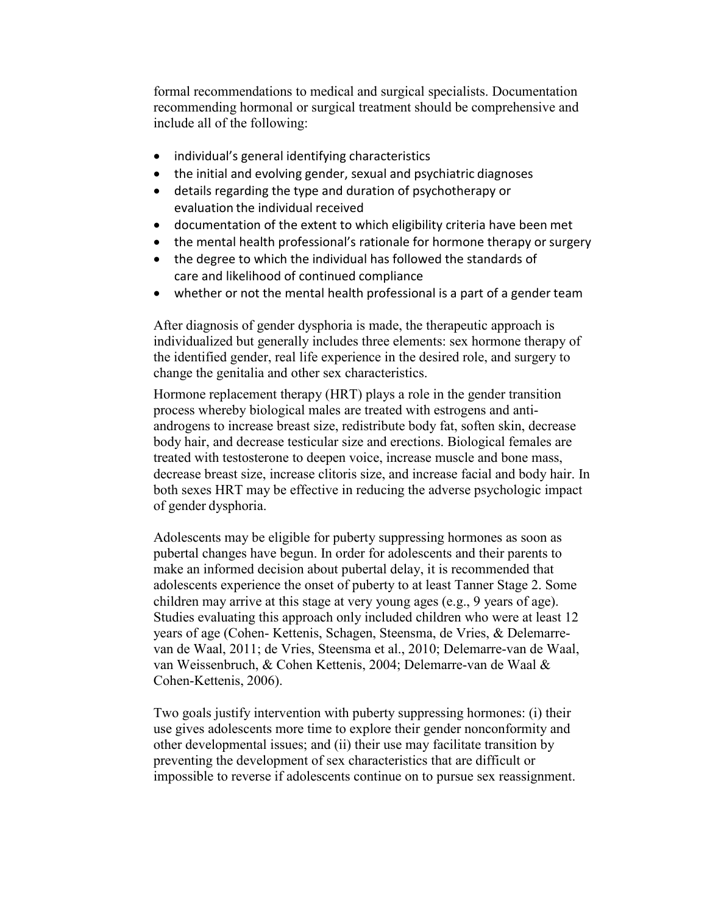formal recommendations to medical and surgical specialists. Documentation recommending hormonal or surgical treatment should be comprehensive and include all of the following:

- individual's general identifying characteristics
- the initial and evolving gender, sexual and psychiatric diagnoses
- details regarding the type and duration of psychotherapy or evaluation the individual received
- documentation of the extent to which eligibility criteria have been met
- the mental health professional's rationale for hormone therapy or surgery
- the degree to which the individual has followed the standards of care and likelihood of continued compliance
- whether or not the mental health professional is a part of a gender team

After diagnosis of gender dysphoria is made, the therapeutic approach is individualized but generally includes three elements: sex hormone therapy of the identified gender, real life experience in the desired role, and surgery to change the genitalia and other sex characteristics.

Hormone replacement therapy (HRT) plays a role in the gender transition process whereby biological males are treated with estrogens and antiandrogens to increase breast size, redistribute body fat, soften skin, decrease body hair, and decrease testicular size and erections. Biological females are treated with testosterone to deepen voice, increase muscle and bone mass, decrease breast size, increase clitoris size, and increase facial and body hair. In both sexes HRT may be effective in reducing the adverse psychologic impact of gender dysphoria.

Adolescents may be eligible for puberty suppressing hormones as soon as pubertal changes have begun. In order for adolescents and their parents to make an informed decision about pubertal delay, it is recommended that adolescents experience the onset of puberty to at least Tanner Stage 2. Some children may arrive at this stage at very young ages (e.g., 9 years of age). Studies evaluating this approach only included children who were at least 12 years of age (Cohen- Kettenis, Schagen, Steensma, de Vries, & Delemarrevan de Waal, 2011; de Vries, Steensma et al., 2010; Delemarre-van de Waal, van Weissenbruch, & Cohen Kettenis, 2004; Delemarre-van de Waal & Cohen-Kettenis, 2006).

Two goals justify intervention with puberty suppressing hormones: (i) their use gives adolescents more time to explore their gender nonconformity and other developmental issues; and (ii) their use may facilitate transition by preventing the development of sex characteristics that are difficult or impossible to reverse if adolescents continue on to pursue sex reassignment.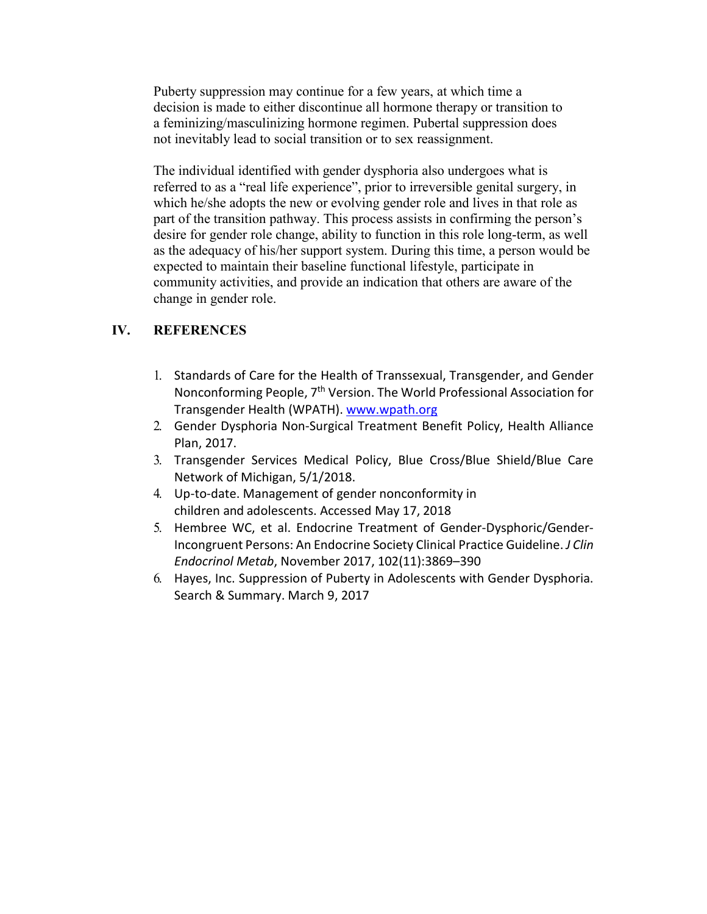Puberty suppression may continue for a few years, at which time a decision is made to either discontinue all hormone therapy or transition to a feminizing/masculinizing hormone regimen. Pubertal suppression does not inevitably lead to social transition or to sex reassignment.

The individual identified with gender dysphoria also undergoes what is referred to as a "real life experience", prior to irreversible genital surgery, in which he/she adopts the new or evolving gender role and lives in that role as part of the transition pathway. This process assists in confirming the person's desire for gender role change, ability to function in this role long-term, as well as the adequacy of his/her support system. During this time, a person would be expected to maintain their baseline functional lifestyle, participate in community activities, and provide an indication that others are aware of the change in gender role.

## **IV. REFERENCES**

- 1. Standards of Care for the Health of Transsexual, Transgender, and Gender Nonconforming People, 7th Version. The World Professional Association for Transgender Health (WPATH). [www.wpath.org](http://www.wpath.org/)
- 2. Gender Dysphoria Non-Surgical Treatment Benefit Policy, Health Alliance Plan, 2017.
- 3. Transgender Services Medical Policy, Blue Cross/Blue Shield/Blue Care Network of Michigan, 5/1/2018.
- 4. Up-to-date. Management of gender nonconformity in children and adolescents. Accessed May 17, 2018
- 5. Hembree WC, et al. Endocrine Treatment of Gender-Dysphoric/Gender-Incongruent Persons: An Endocrine Society Clinical Practice Guideline. *J Clin Endocrinol Metab*, November 2017, 102(11):3869–390
- 6. Hayes, Inc. Suppression of Puberty in Adolescents with Gender Dysphoria. Search & Summary. March 9, 2017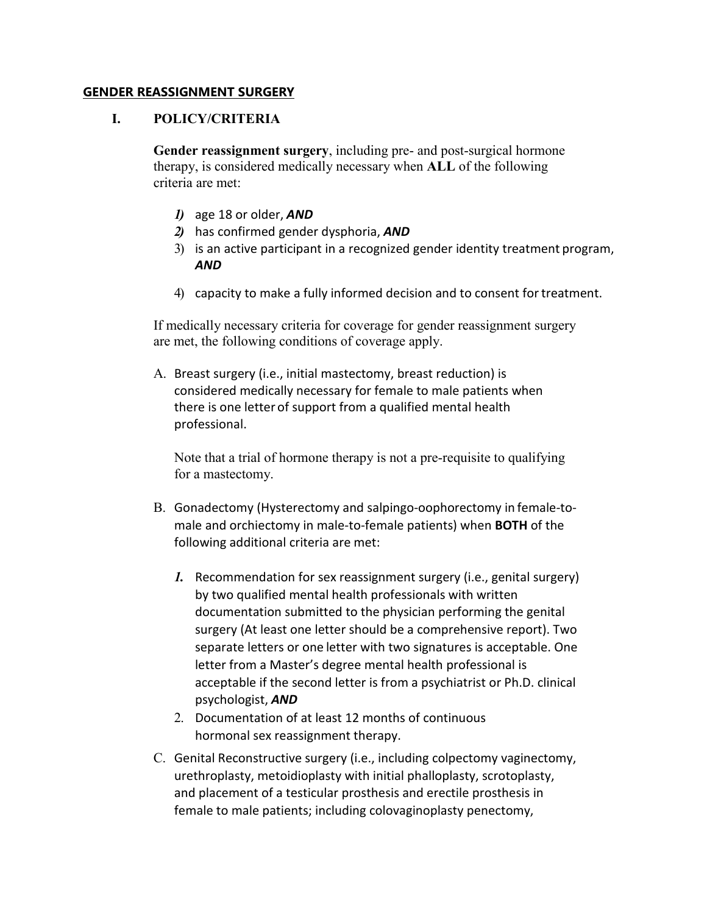#### **GENDER REASSIGNMENT SURGERY**

### **I. POLICY/CRITERIA**

**Gender reassignment surgery**, including pre- and post-surgical hormone therapy, is considered medically necessary when **ALL** of the following criteria are met:

- *1)* age 18 or older, *AND*
- *2)* has confirmed gender dysphoria, *AND*
- 3) is an active participant in a recognized gender identity treatment program, *AND*
- 4) capacity to make a fully informed decision and to consent fortreatment.

If medically necessary criteria for coverage for gender reassignment surgery are met, the following conditions of coverage apply.

A. Breast surgery (i.e., initial mastectomy, breast reduction) is considered medically necessary for female to male patients when there is one letter of support from a qualified mental health professional.

Note that a trial of hormone therapy is not a pre-requisite to qualifying for a mastectomy.

- B. Gonadectomy (Hysterectomy and salpingo-oophorectomy in female-tomale and orchiectomy in male-to-female patients) when **BOTH** of the following additional criteria are met:
	- *1.* Recommendation for sex reassignment surgery (i.e., genital surgery) by two qualified mental health professionals with written documentation submitted to the physician performing the genital surgery (At least one letter should be a comprehensive report). Two separate letters or one letter with two signatures is acceptable. One letter from a Master's degree mental health professional is acceptable if the second letter is from a psychiatrist or Ph.D. clinical psychologist, *AND*
	- 2. Documentation of at least 12 months of continuous hormonal sex reassignment therapy.
- C. Genital Reconstructive surgery (i.e., including colpectomy vaginectomy, urethroplasty, metoidioplasty with initial phalloplasty, scrotoplasty, and placement of a testicular prosthesis and erectile prosthesis in female to male patients; including colovaginoplasty penectomy,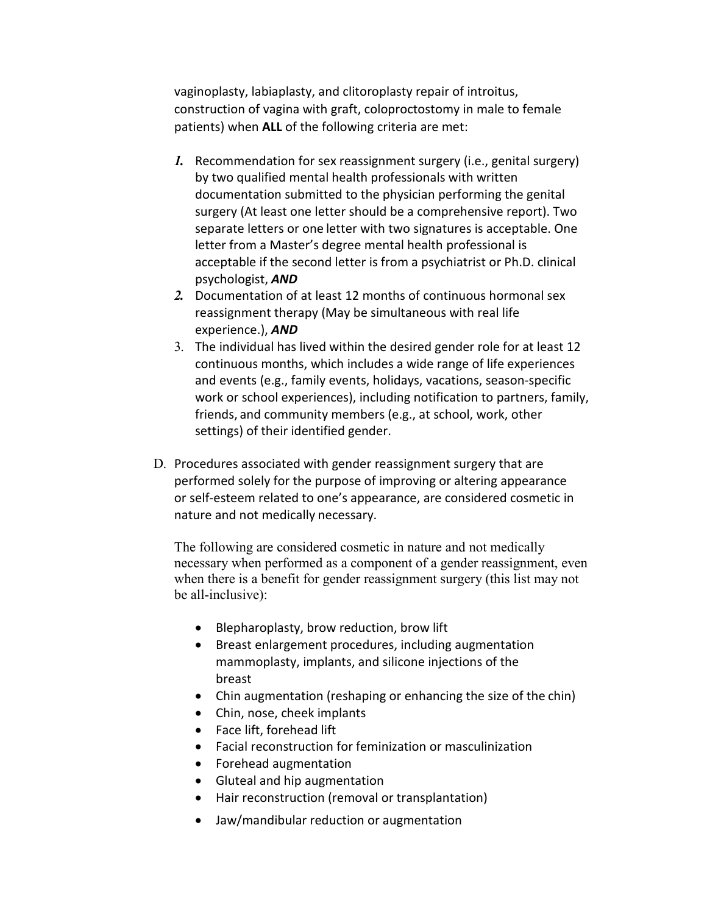vaginoplasty, labiaplasty, and clitoroplasty repair of introitus, construction of vagina with graft, coloproctostomy in male to female patients) when **ALL** of the following criteria are met:

- *1.* Recommendation for sex reassignment surgery (i.e., genital surgery) by two qualified mental health professionals with written documentation submitted to the physician performing the genital surgery (At least one letter should be a comprehensive report). Two separate letters or one letter with two signatures is acceptable. One letter from a Master's degree mental health professional is acceptable if the second letter is from a psychiatrist or Ph.D. clinical psychologist, *AND*
- *2.* Documentation of at least 12 months of continuous hormonal sex reassignment therapy (May be simultaneous with real life experience.), *AND*
- 3. The individual has lived within the desired gender role for at least 12 continuous months, which includes a wide range of life experiences and events (e.g., family events, holidays, vacations, season-specific work or school experiences), including notification to partners, family, friends, and community members (e.g., at school, work, other settings) of their identified gender.
- D. Procedures associated with gender reassignment surgery that are performed solely for the purpose of improving or altering appearance or self-esteem related to one's appearance, are considered cosmetic in nature and not medically necessary.

The following are considered cosmetic in nature and not medically necessary when performed as a component of a gender reassignment, even when there is a benefit for gender reassignment surgery (this list may not be all-inclusive):

- Blepharoplasty, brow reduction, brow lift
- Breast enlargement procedures, including augmentation mammoplasty, implants, and silicone injections of the breast
- Chin augmentation (reshaping or enhancing the size of the chin)
- Chin, nose, cheek implants
- Face lift, forehead lift
- Facial reconstruction for feminization or masculinization
- Forehead augmentation
- Gluteal and hip augmentation
- Hair reconstruction (removal or transplantation)
- Jaw/mandibular reduction or augmentation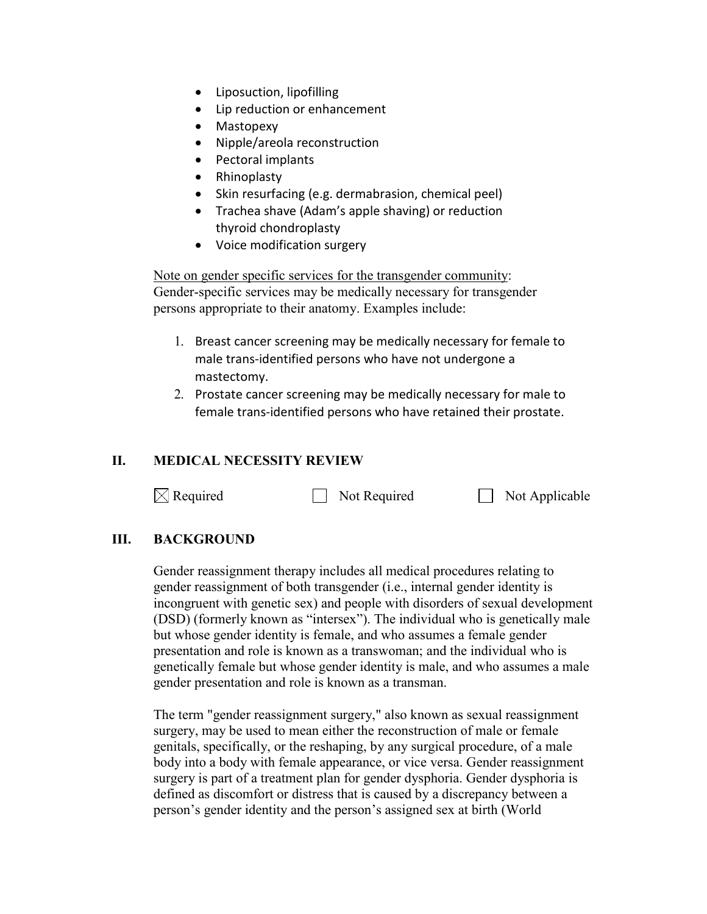- Liposuction, lipofilling
- Lip reduction or enhancement
- Mastopexy
- Nipple/areola reconstruction
- Pectoral implants
- Rhinoplasty
- Skin resurfacing (e.g. dermabrasion, chemical peel)
- Trachea shave (Adam's apple shaving) or reduction thyroid chondroplasty
- Voice modification surgery

Note on gender specific services for the transgender community: Gender-specific services may be medically necessary for transgender persons appropriate to their anatomy. Examples include:

- 1. Breast cancer screening may be medically necessary for female to male trans-identified persons who have not undergone a mastectomy.
- 2. Prostate cancer screening may be medically necessary for male to female trans-identified persons who have retained their prostate.

## **II. MEDICAL NECESSITY REVIEW**

 $\boxtimes$  Required  $\Box$  Not Required  $\Box$  Not Applicable

## **III. BACKGROUND**

Gender reassignment therapy includes all medical procedures relating to gender reassignment of both transgender (i.e., internal gender identity is incongruent with genetic sex) and people with disorders of sexual development (DSD) (formerly known as "intersex"). The individual who is genetically male but whose gender identity is female, and who assumes a female gender presentation and role is known as a transwoman; and the individual who is genetically female but whose gender identity is male, and who assumes a male gender presentation and role is known as a transman.

The term "gender reassignment surgery," also known as sexual reassignment surgery, may be used to mean either the reconstruction of male or female genitals, specifically, or the reshaping, by any surgical procedure, of a male body into a body with female appearance, or vice versa. Gender reassignment surgery is part of a treatment plan for gender dysphoria. Gender dysphoria is defined as discomfort or distress that is caused by a discrepancy between a person's gender identity and the person's assigned sex at birth (World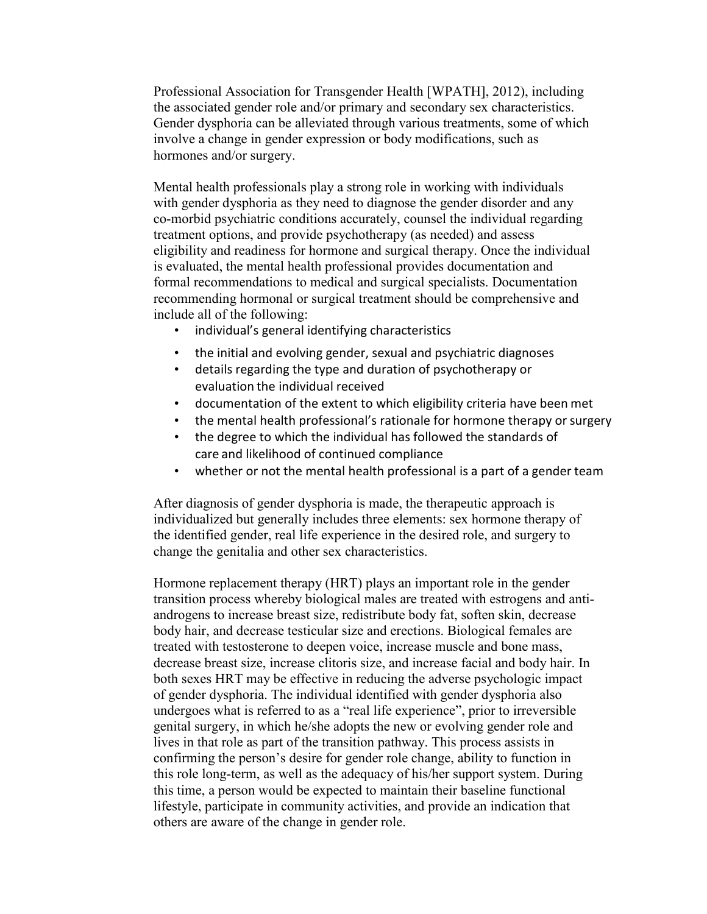Professional Association for Transgender Health [WPATH], 2012), including the associated gender role and/or primary and secondary sex characteristics. Gender dysphoria can be alleviated through various treatments, some of which involve a change in gender expression or body modifications, such as hormones and/or surgery.

Mental health professionals play a strong role in working with individuals with gender dysphoria as they need to diagnose the gender disorder and any co-morbid psychiatric conditions accurately, counsel the individual regarding treatment options, and provide psychotherapy (as needed) and assess eligibility and readiness for hormone and surgical therapy. Once the individual is evaluated, the mental health professional provides documentation and formal recommendations to medical and surgical specialists. Documentation recommending hormonal or surgical treatment should be comprehensive and include all of the following:

- individual's general identifying characteristics
- the initial and evolving gender, sexual and psychiatric diagnoses
- details regarding the type and duration of psychotherapy or evaluation the individual received
- documentation of the extent to which eligibility criteria have been met
- the mental health professional's rationale for hormone therapy or surgery
- the degree to which the individual has followed the standards of care and likelihood of continued compliance
- whether or not the mental health professional is a part of a gender team

After diagnosis of gender dysphoria is made, the therapeutic approach is individualized but generally includes three elements: sex hormone therapy of the identified gender, real life experience in the desired role, and surgery to change the genitalia and other sex characteristics.

Hormone replacement therapy (HRT) plays an important role in the gender transition process whereby biological males are treated with estrogens and antiandrogens to increase breast size, redistribute body fat, soften skin, decrease body hair, and decrease testicular size and erections. Biological females are treated with testosterone to deepen voice, increase muscle and bone mass, decrease breast size, increase clitoris size, and increase facial and body hair. In both sexes HRT may be effective in reducing the adverse psychologic impact of gender dysphoria. The individual identified with gender dysphoria also undergoes what is referred to as a "real life experience", prior to irreversible genital surgery, in which he/she adopts the new or evolving gender role and lives in that role as part of the transition pathway. This process assists in confirming the person's desire for gender role change, ability to function in this role long-term, as well as the adequacy of his/her support system. During this time, a person would be expected to maintain their baseline functional lifestyle, participate in community activities, and provide an indication that others are aware of the change in gender role.